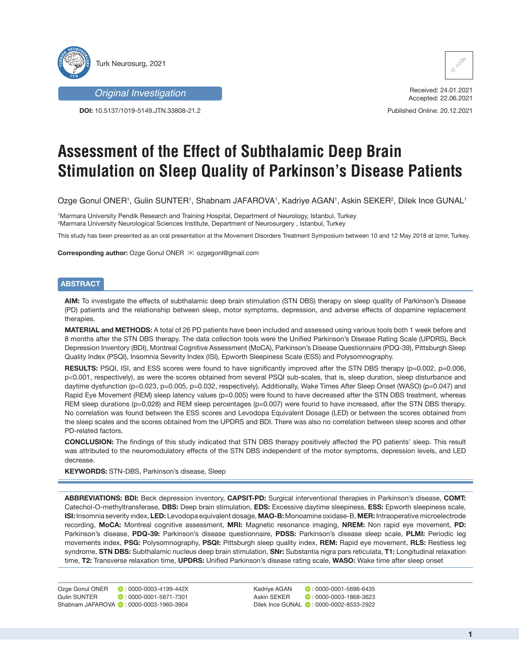



**DOI:** 10.5137/1019-5149.JTN.33808-21.2



Received: 24.01.2021 Accepted: 22.06.2021

Published Online: 20.12.2021

# **Assessment of the Effect of Subthalamic Deep Brain Stimulation on Sleep Quality of Parkinson's Disease Patients**

Ozge Gonul ONER1, Gulin SUNTER1, Shabnam JAFAROVA1, Kadriye AGAN1, Askin SEKER2, Dilek Ince GUNAL1

1 Marmara University Pendik Research and Training Hospital, Department of Neurology, Istanbul, Turkey 2 Marmara University Neurological Sciences Institute, Department of Neurosurgery , Istanbul, Turkey

This study has been presented as an oral presentation at the Movement Disorders Treatment Symposium between 10 and 12 May 2018 at Izmir, Turkey.

**Corresponding author:** Ozge Gonul ONER **<b>imes** ozgegonl@gmail.com

# **ABSTRACT**

**AIM:** To investigate the effects of subthalamic deep brain stimulation (STN DBS) therapy on sleep quality of Parkinson's Disease (PD) patients and the relationship between sleep, motor symptoms, depression, and adverse effects of dopamine replacement therapies.

**MATERIAL and METHODS:** A total of 26 PD patients have been included and assessed using various tools both 1 week before and 8 months after the STN DBS therapy. The data collection tools were the Unified Parkinson's Disease Rating Scale (UPDRS), Beck Depression Inventory (BDI), Montreal Cognitive Assessment (MoCA), Parkinson's Disease Questionnaire (PDQ-39), Pittsburgh Sleep Quality Index (PSQI), Insomnia Severity Index (ISI), Epworth Sleepiness Scale (ESS) and Polysomnography.

RESULTS: PSQI, ISI, and ESS scores were found to have significantly improved after the STN DBS therapy (p=0.002, p=0.006, p<0.001, respectively), as were the scores obtained from several PSQI sub-scales, that is, sleep duration, sleep disturbance and daytime dysfunction (p=0.023, p=0.005, p=0.032, respectively). Additionally, Wake Times After Sleep Onset (WASO) (p=0.047) and Rapid Eye Movement (REM) sleep latency values (p=0.005) were found to have decreased after the STN DBS treatment, whereas REM sleep durations (p=0,028) and REM sleep percentages (p=0.007) were found to have increased, after the STN DBS therapy. No correlation was found between the ESS scores and Levodopa Equivalent Dosage (LED) or between the scores obtained from the sleep scales and the scores obtained from the UPDRS and BDI. There was also no correlation between sleep scores and other PD-related factors.

**CONCLUSION:** The findings of this study indicated that STN DBS therapy positively affected the PD patients' sleep. This result was attributed to the neuromodulatory effects of the STN DBS independent of the motor symptoms, depression levels, and LED decrease.

**KEYWORDS:** STN-DBS, Parkinson's disease, Sleep

**ABBREVIATIONS: BDI:** Beck depression inventory, **CAPSIT-PD:** Surgical interventional therapies in Parkinson's disease, **COMT:** Catechol-O-methyltransferase, **DBS:** Deep brain stimulation, **EDS:** Excessive daytime sleepiness, **ESS:** Epworth sleepiness scale, **ISI:** Insomnia severity ındex, **LED:** Levodopa equivalent dosage, **MAO-B:** Monoamine oxidase-B, **MER:** Intraoperative microelectrode recording, **MoCA:** Montreal cognitive assessment, **MRI:** Magnetic resonance imaging, **NREM:** Non rapid eye movement, **PD:** Parkinson's disease, **PDQ-39:** Parkinson's disease questionnaire, **PDSS:** Parkinson's disease sleep scale, **PLMI:** Periodic leg movements index, **PSG:** Polysomnography, **PSQI:** Pittsburgh sleep quality index, **REM:** Rapid eye movement, **RLS:** Restless leg syndrome, **STN DBS:** Subthalamic nucleus deep brain stimulation, **SNr:** Substantia nigra pars reticulata, **T1:** Longitudinal relaxation time, **T2:** Transverse relaxation time, **UPDRS:** Unified Parkinson's disease rating scale, **WASO:** Wake time after sleep onset

Ozge Gonul ONER **D**: 0000-0003-4199-442X Gulin SUNTER **: 0000-0001-5871-7301** Shabnam JAFAROVA **:** 0000-0003-1960-3904

Kadriye AGAN **D**: 0000-0001-5696-6435 Askin SEKER **:** 0000-0003-1868-3623 Dilek Ince GUNAL ( : 0000-0002-8533-2922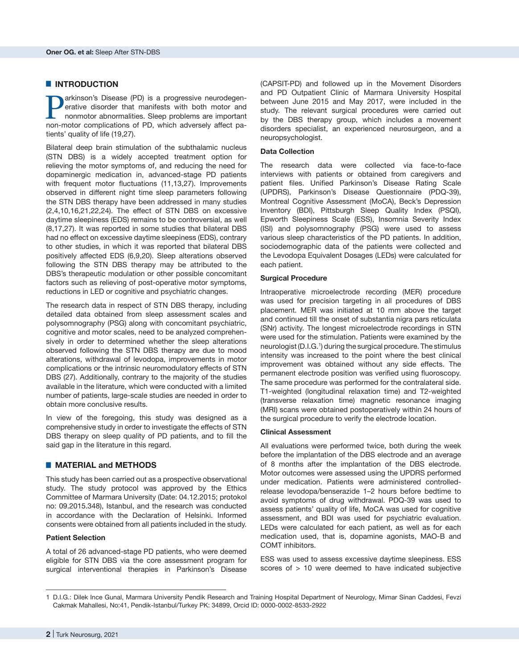# **E** INTRODUCTION

**Parkinson's Disease (PD) is a progressive neurodegen-**<br>erative disorder that manifests with both motor and<br>nonmotor abnormalities. Sleep problems are important<br>non-motor complications of PD, which adversely affect paerative disorder that manifests with both motor and nonmotor abnormalities. Sleep problems are important non-motor complications of PD, which adversely affect patients' quality of life (19,27).

Bilateral deep brain stimulation of the subthalamic nucleus (STN DBS) is a widely accepted treatment option for relieving the motor symptoms of, and reducing the need for dopaminergic medication in, advanced-stage PD patients with frequent motor fluctuations (11,13,27). Improvements observed in different night time sleep parameters following the STN DBS therapy have been addressed in many studies (2,4,10,16,21,22,24). The effect of STN DBS on excessive daytime sleepiness (EDS) remains to be controversial, as well (8,17,27). It was reported in some studies that bilateral DBS had no effect on excessive daytime sleepiness (EDS), contrary to other studies, in which it was reported that bilateral DBS positively affected EDS (6,9,20). Sleep alterations observed following the STN DBS therapy may be attributed to the DBS's therapeutic modulation or other possible concomitant factors such as relieving of post-operative motor symptoms, reductions in LED or cognitive and psychiatric changes.

The research data in respect of STN DBS therapy, including detailed data obtained from sleep assessment scales and polysomnography (PSG) along with concomitant psychiatric, cognitive and motor scales, need to be analyzed comprehensively in order to determined whether the sleep alterations observed following the STN DBS therapy are due to mood alterations, withdrawal of levodopa, improvements in motor complications or the intrinsic neuromodulatory effects of STN DBS (27). Additionally, contrary to the majority of the studies available in the literature, which were conducted with a limited number of patients, large-scale studies are needed in order to obtain more conclusive results.

In view of the foregoing, this study was designed as a comprehensive study in order to investigate the effects of STN DBS therapy on sleep quality of PD patients, and to fill the said gap in the literature in this regard.

# █ **MATERIAL and METHODS**

This study has been carried out as a prospective observational study. The study protocol was approved by the Ethics Committee of Marmara University (Date: 04.12.2015; protokol no: 09.2015.348), Istanbul, and the research was conducted in accordance with the Declaration of Helsinki. Informed consents were obtained from all patients included in the study.

#### **Patient Selection**

A total of 26 advanced-stage PD patients, who were deemed eligible for STN DBS via the core assessment program for surgical interventional therapies in Parkinson's Disease

(CAPSIT-PD) and followed up in the Movement Disorders and PD Outpatient Clinic of Marmara University Hospital between June 2015 and May 2017, were included in the study. The relevant surgical procedures were carried out by the DBS therapy group, which includes a movement disorders specialist, an experienced neurosurgeon, and a neuropsychologist.

#### **Data Collection**

The research data were collected via face-to-face interviews with patients or obtained from caregivers and patient files. Unified Parkinson's Disease Rating Scale (UPDRS), Parkinson's Disease Questionnaire (PDQ-39), Montreal Cognitive Assessment (MoCA), Beck's Depression Inventory (BDI), Pittsburgh Sleep Quality Index (PSQI), Epworth Sleepiness Scale (ESS), Insomnia Severity Index (ISI) and polysomnography (PSG) were used to assess various sleep characteristics of the PD patients. In addition, sociodemographic data of the patients were collected and the Levodopa Equivalent Dosages (LEDs) were calculated for each patient.

## **Surgical Procedure**

Intraoperative microelectrode recording (MER) procedure was used for precision targeting in all procedures of DBS placement. MER was initiated at 10 mm above the target and continued till the onset of substantia nigra pars reticulata (SNr) activity. The longest microelectrode recordings in STN were used for the stimulation. Patients were examined by the neurologist (D.I.G.<sup>1</sup> ) during the surgical procedure. The stimulus intensity was increased to the point where the best clinical improvement was obtained without any side effects. The permanent electrode position was verified using fluoroscopy. The same procedure was performed for the contralateral side. T1-weighted (longitudinal relaxation time) and T2-weighted (transverse relaxation time) magnetic resonance imaging (MRI) scans were obtained postoperatively within 24 hours of the surgical procedure to verify the electrode location.

#### **Clinical Assessment**

All evaluations were performed twice, both during the week before the implantation of the DBS electrode and an average of 8 months after the implantation of the DBS electrode. Motor outcomes were assessed using the UPDRS performed under medication. Patients were administered controlledrelease levodopa/benserazide 1–2 hours before bedtime to avoid symptoms of drug withdrawal. PDQ-39 was used to assess patients' quality of life, MoCA was used for cognitive assessment, and BDI was used for psychiatric evaluation. LEDs were calculated for each patient, as well as for each medication used, that is, dopamine agonists, MAO-B and COMT inhibitors.

ESS was used to assess excessive daytime sleepiness. ESS scores of  $> 10$  were deemed to have indicated subjective

<sup>1</sup> D.I.G.: Dilek Ince Gunal, Marmara University Pendik Research and Training Hospital Department of Neurology, Mimar Sinan Caddesi, Fevzi Cakmak Mahallesi, No:41, Pendik-Istanbul/Turkey PK: 34899, Orcid ID: 0000-0002-8533-2922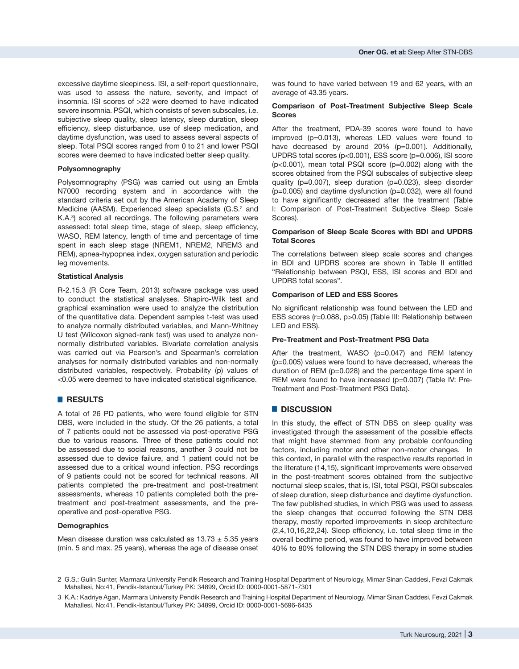excessive daytime sleepiness. ISI, a self-report questionnaire, was used to assess the nature, severity, and impact of insomnia. ISI scores of >22 were deemed to have indicated severe insomnia. PSQI, which consists of seven subscales, i.e. subjective sleep quality, sleep latency, sleep duration, sleep efficiency, sleep disturbance, use of sleep medication, and daytime dysfunction, was used to assess several aspects of sleep. Total PSQI scores ranged from 0 to 21 and lower PSQI scores were deemed to have indicated better sleep quality.

#### **Polysomnography**

Polysomnography (PSG) was carried out using an Embla N7000 recording system and in accordance with the standard criteria set out by the American Academy of Sleep Medicine (AASM). Experienced sleep specialists (G.S.<sup>2</sup> and K.A.3 ) scored all recordings. The following parameters were assessed: total sleep time, stage of sleep, sleep efficiency, WASO, REM latency, length of time and percentage of time spent in each sleep stage (NREM1, NREM2, NREM3 and REM), apnea-hypopnea index, oxygen saturation and periodic leg movements.

#### **Statistical Analysis**

R-2.15.3 (R Core Team, 2013) software package was used to conduct the statistical analyses. Shapiro-Wilk test and graphical examination were used to analyze the distribution of the quantitative data. Dependent samples t-test was used to analyze normally distributed variables, and Mann-Whitney U test (Wilcoxon signed-rank test) was used to analyze nonnormally distributed variables. Bivariate correlation analysis was carried out via Pearson's and Spearman's correlation analyses for normally distributed variables and non-normally distributed variables, respectively. Probability (p) values of <0.05 were deemed to have indicated statistical significance.

# █ **RESULTS**

A total of 26 PD patients, who were found eligible for STN DBS, were included in the study. Of the 26 patients, a total of 7 patients could not be assessed via post-operative PSG due to various reasons. Three of these patients could not be assessed due to social reasons, another 3 could not be assessed due to device failure, and 1 patient could not be assessed due to a critical wound infection. PSG recordings of 9 patients could not be scored for technical reasons. All patients completed the pre-treatment and post-treatment assessments, whereas 10 patients completed both the pretreatment and post-treatment assessments, and the preoperative and post-operative PSG.

#### **Demographics**

Mean disease duration was calculated as  $13.73 \pm 5.35$  years (min. 5 and max. 25 years), whereas the age of disease onset was found to have varied between 19 and 62 years, with an average of 43.35 years.

#### **Comparison of Post-Treatment Subjective Sleep Scale Scores**

After the treatment, PDA-39 scores were found to have improved (p=0.013), whereas LED values were found to have decreased by around 20% (p=0.001). Additionally, UPDRS total scores (p<0.001), ESS score (p=0.006), ISI score (p<0.001), mean total PSQI score (p=0.002) along with the scores obtained from the PSQI subscales of subjective sleep quality (p=0.007), sleep duration (p=0.023), sleep disorder  $(p=0.005)$  and daytime dysfunction  $(p=0.032)$ , were all found to have significantly decreased after the treatment (Table I: Comparison of Post-Treatment Subjective Sleep Scale Scores).

## **Comparison of Sleep Scale Scores with BDI and UPDRS Total Scores**

The correlations between sleep scale scores and changes in BDI and UPDRS scores are shown in Table II entitled "Relationship between PSQI, ESS, ISI scores and BDI and UPDRS total scores".

#### **Comparison of LED and ESS Scores**

No significant relationship was found between the LED and ESS scores (r=0.088, p>0.05) (Table III: Relationship between LED and ESS).

#### **Pre-Treatment and Post-Treatment PSG Data**

After the treatment, WASO (p=0.047) and REM latency (p=0.005) values were found to have decreased, whereas the duration of REM (p=0.028) and the percentage time spent in REM were found to have increased (p=0.007) (Table IV: Pre-Treatment and Post-Treatment PSG Data).

# █ **DISCUSSION**

In this study, the effect of STN DBS on sleep quality was investigated through the assessment of the possible effects that might have stemmed from any probable confounding factors, including motor and other non-motor changes. In this context, in parallel with the respective results reported in the literature (14,15), significant improvements were observed in the post-treatment scores obtained from the subjective nocturnal sleep scales, that is, ISI, total PSQI, PSQI subscales of sleep duration, sleep disturbance and daytime dysfunction. The few published studies, in which PSG was used to assess the sleep changes that occurred following the STN DBS therapy, mostly reported improvements in sleep architecture (2,4,10,16,22,24). Sleep efficiency, i.e. total sleep time in the overall bedtime period, was found to have improved between 40% to 80% following the STN DBS therapy in some studies

<sup>2</sup> G.S.: Gulin Sunter, Marmara University Pendik Research and Training Hospital Department of Neurology, Mimar Sinan Caddesi, Fevzi Cakmak Mahallesi, No:41, Pendik-Istanbul/Turkey PK: 34899, Orcid ID: 0000-0001-5871-7301

<sup>3</sup> K.A.: Kadriye Agan, Marmara University Pendik Research and Training Hospital Department of Neurology, Mimar Sinan Caddesi, Fevzi Cakmak Mahallesi, No:41, Pendik-Istanbul/Turkey PK: 34899, Orcid ID: 0000-0001-5696-6435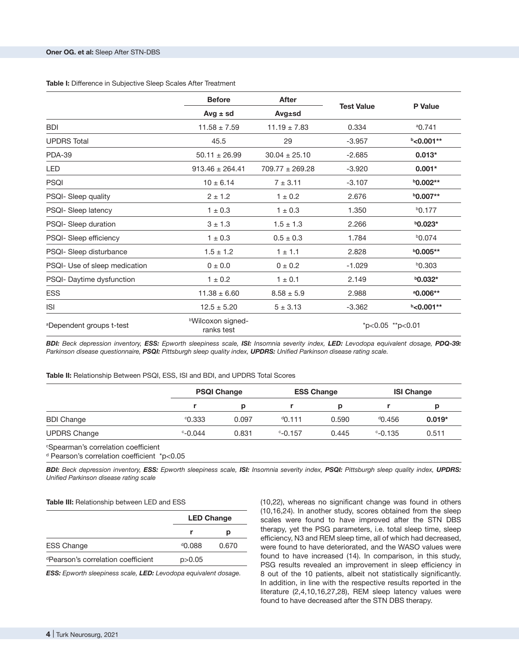|                               | <b>Before</b>                          | <b>After</b>        |                   |                      |
|-------------------------------|----------------------------------------|---------------------|-------------------|----------------------|
|                               | $Avg \pm sd$                           | Avg±sd              | <b>Test Value</b> | P Value              |
| <b>BDI</b>                    | $11.58 \pm 7.59$                       | $11.19 \pm 7.83$    | 0.334             | $^{a}$ 0.741         |
| <b>UPDRS Total</b>            | 45.5                                   | 29                  | $-3.957$          | $b$ <0.001**         |
| <b>PDA-39</b>                 | $50.11 \pm 26.99$                      | $30.04 \pm 25.10$   | $-2.685$          | $0.013*$             |
| <b>LED</b>                    | $913.46 \pm 264.41$                    | $709.77 \pm 269.28$ | $-3.920$          | $0.001*$             |
| <b>PSQI</b>                   | $10 \pm 6.14$                          | $7 + 3.11$          | $-3.107$          | <b>b0.002**</b>      |
| PSQI- Sleep quality           | $2 \pm 1.2$                            | $1 \pm 0.2$         | 2.676             | <b>b0.007**</b>      |
| PSQI- Sleep latency           | $1 \pm 0.3$                            | $1 \pm 0.3$         | 1.350             | $b$ 0.177            |
| PSQI- Sleep duration          | $3 \pm 1.3$                            | $1.5 \pm 1.3$       | 2.266             | $b$ 0.023*           |
| PSQI- Sleep efficiency        | $1 \pm 0.3$                            | $0.5 \pm 0.3$       | 1.784             | b0.074               |
| PSQI- Sleep disturbance       | $1.5 \pm 1.2$                          | $1 \pm 1.1$         | 2.828             | $b$ 0.005**          |
| PSQI- Use of sleep medication | 0 ± 0.0                                | $0 \pm 0.2$         | $-1.029$          | b0.303               |
| PSQI- Daytime dysfunction     | $1 \pm 0.2$                            | $1 \pm 0.1$         | 2.149             | $b$ 0.032*           |
| <b>ESS</b>                    | $11.38 \pm 6.60$                       | $8.58 \pm 5.9$      | 2.988             | <sup>a</sup> 0.006** |
| <b>ISI</b>                    | $12.5 \pm 5.20$                        | $5 + 3.13$          | $-3.362$          | $b$ <0.001**         |
| aDependent groups t-test      | <b>bWilcoxon signed-</b><br>ranks test |                     | *p<0.05 **p<0.01  |                      |

*BDI: Beck depression inventory, ESS: Epworth sleepiness scale, ISI: Insomnia severity index, LED: Levodopa equivalent dosage, PDQ-39: Parkinson disease questionnaire, PSQI: Pittsburgh sleep quality index, UPDRS: Unified Parkinson disease rating scale.*

#### **Table II:** Relationship Between PSQI, ESS, ISI and BDI, and UPDRS Total Scores

|                     | <b>PSQI Change</b> |       | <b>ESS Change</b> |       | <b>ISI Change</b>   |          |
|---------------------|--------------------|-------|-------------------|-------|---------------------|----------|
|                     |                    |       |                   |       |                     | p        |
| <b>BDI Change</b>   | 0.333              | 0.097 | $^{d}$ 0.111      | 0.590 | $^{\text{d}}$ 0.456 | $0.019*$ |
| <b>UPDRS Change</b> | $-0.044$           | 0.831 | $C-0.157$         | 0.445 | $C - 0.135$         | 0.511    |
|                     |                    |       |                   |       |                     |          |

# $^\mathrm{c}$ Spearman's correlation coefficient

<sup>d</sup> Pearson's correlation coefficient \*p<0.05

*BDI: Beck depression inventory, ESS: Epworth sleepiness scale, ISI: Insomnia severity index, PSQI: Pittsburgh sleep quality index, UPDRS: Unified Parkinson disease rating scale*

#### **Table III:** Relationship between LED and ESS

|                                    | <b>LED Change</b> |       |  |
|------------------------------------|-------------------|-------|--|
|                                    |                   | р     |  |
| <b>ESS Change</b>                  | 0.088             | 0.670 |  |
| dPearson's correlation coefficient | p > 0.05          |       |  |

*ESS: Epworth sleepiness scale, LED: Levodopa equivalent dosage.*

(10,22), whereas no significant change was found in others (10,16,24). In another study, scores obtained from the sleep scales were found to have improved after the STN DBS therapy, yet the PSG parameters, i.e. total sleep time, sleep efficiency, N3 and REM sleep time, all of which had decreased, were found to have deteriorated, and the WASO values were found to have increased (14). In comparison, in this study, PSG results revealed an improvement in sleep efficiency in 8 out of the 10 patients, albeit not statistically significantly. In addition, in line with the respective results reported in the literature (2,4,10,16,27,28), REM sleep latency values were found to have decreased after the STN DBS therapy.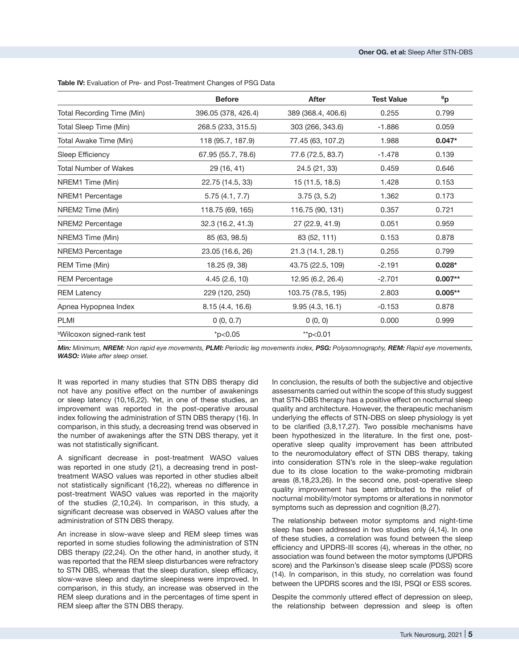**Table IV:** Evaluation of Pre- and Post-Treatment Changes of PSG Data

|                                        | <b>Before</b>       | <b>After</b>       | <b>Test Value</b> | <sup>B</sup> p |
|----------------------------------------|---------------------|--------------------|-------------------|----------------|
| Total Recording Time (Min)             | 396.05 (378, 426.4) | 389 (368.4, 406.6) | 0.255             | 0.799          |
| Total Sleep Time (Min)                 | 268.5 (233, 315.5)  | 303 (266, 343.6)   | $-1.886$          | 0.059          |
| Total Awake Time (Min)                 | 118 (95.7, 187.9)   | 77.45 (63, 107.2)  | 1.988             | $0.047*$       |
| Sleep Efficiency                       | 67.95 (55.7, 78.6)  | 77.6 (72.5, 83.7)  | $-1.478$          | 0.139          |
| <b>Total Number of Wakes</b>           | 29 (16, 41)         | 24.5 (21, 33)      | 0.459             | 0.646          |
| NREM1 Time (Min)                       | 22.75 (14.5, 33)    | 15 (11.5, 18.5)    | 1.428             | 0.153          |
| NREM1 Percentage                       | 5.75(4.1, 7.7)      | 3.75(3, 5.2)       | 1.362             | 0.173          |
| NREM2 Time (Min)                       | 118.75 (69, 165)    | 116.75 (90, 131)   | 0.357             | 0.721          |
| NREM2 Percentage                       | 32.3 (16.2, 41.3)   | 27 (22.9, 41.9)    | 0.051             | 0.959          |
| NREM3 Time (Min)                       | 85 (63, 98.5)       | 83 (52, 111)       | 0.153             | 0.878          |
| NREM3 Percentage                       | 23.05 (16.6, 26)    | 21.3 (14.1, 28.1)  | 0.255             | 0.799          |
| REM Time (Min)                         | 18.25 (9, 38)       | 43.75 (22.5, 109)  | $-2.191$          | $0.028*$       |
| <b>REM Percentage</b>                  | 4.45(2.6, 10)       | 12.95 (6.2, 26.4)  | $-2.701$          | $0.007**$      |
| <b>REM Latency</b>                     | 229 (120, 250)      | 103.75 (78.5, 195) | 2.803             | $0.005**$      |
| Apnea Hypopnea Index                   | 8.15 (4.4, 16.6)    | 9.95(4.3, 16.1)    | $-0.153$          | 0.878          |
| PLMI                                   | 0(0, 0.7)           | 0(0, 0)            | 0.000             | 0.999          |
| <sup>b</sup> Wilcoxon signed-rank test | $*p<0.05$           | **p<0.01           |                   |                |

*Min: Minimum, NREM: Non rapid eye movements, PLMI: Periodic leg movements index, PSG: Polysomnography, REM: Rapid eye movements, WASO: Wake after sleep onset.*

It was reported in many studies that STN DBS therapy did not have any positive effect on the number of awakenings or sleep latency (10,16,22). Yet, in one of these studies, an improvement was reported in the post-operative arousal index following the administration of STN DBS therapy (16). In comparison, in this study, a decreasing trend was observed in the number of awakenings after the STN DBS therapy, yet it was not statistically significant.

A significant decrease in post-treatment WASO values was reported in one study (21), a decreasing trend in posttreatment WASO values was reported in other studies albeit not statistically significant (16,22), whereas no difference in post-treatment WASO values was reported in the majority of the studies (2,10,24). In comparison, in this study, a significant decrease was observed in WASO values after the administration of STN DBS therapy.

An increase in slow-wave sleep and REM sleep times was reported in some studies following the administration of STN DBS therapy (22,24). On the other hand, in another study, it was reported that the REM sleep disturbances were refractory to STN DBS, whereas that the sleep duration, sleep efficacy, slow-wave sleep and daytime sleepiness were improved. In comparison, in this study, an increase was observed in the REM sleep durations and in the percentages of time spent in REM sleep after the STN DBS therapy.

In conclusion, the results of both the subjective and objective assessments carried out within the scope of this study suggest that STN-DBS therapy has a positive effect on nocturnal sleep quality and architecture. However, the therapeutic mechanism underlying the effects of STN-DBS on sleep physiology is yet to be clarified (3,8,17,27). Two possible mechanisms have been hypothesized in the literature. In the first one, postoperative sleep quality improvement has been attributed to the neuromodulatory effect of STN DBS therapy, taking into consideration STN's role in the sleep-wake regulation due to its close location to the wake-promoting midbrain areas (8,18,23,26). In the second one, post-operative sleep quality improvement has been attributed to the relief of nocturnal mobility/motor symptoms or alterations in nonmotor symptoms such as depression and cognition (8,27).

The relationship between motor symptoms and night-time sleep has been addressed in two studies only (4,14). In one of these studies, a correlation was found between the sleep efficiency and UPDRS-III scores (4), whereas in the other, no association was found between the motor symptoms (UPDRS score) and the Parkinson's disease sleep scale (PDSS) score (14). In comparison, in this study, no correlation was found between the UPDRS scores and the ISI, PSQI or ESS scores.

Despite the commonly uttered effect of depression on sleep, the relationship between depression and sleep is often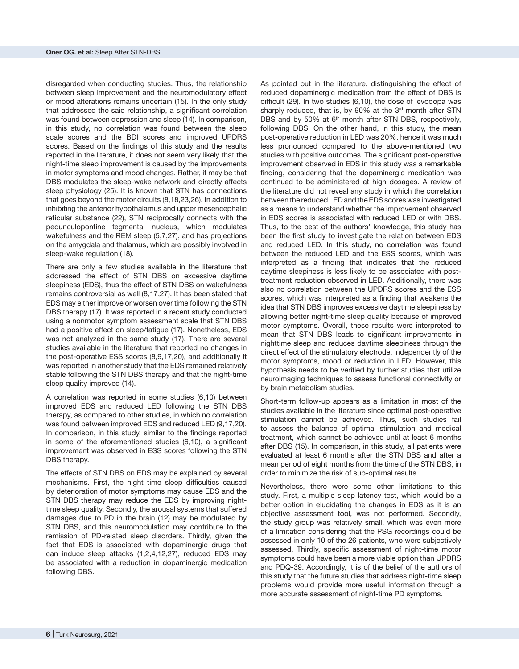disregarded when conducting studies. Thus, the relationship between sleep improvement and the neuromodulatory effect or mood alterations remains uncertain (15). In the only study that addressed the said relationship, a significant correlation was found between depression and sleep (14). In comparison, in this study, no correlation was found between the sleep scale scores and the BDI scores and improved UPDRS scores. Based on the findings of this study and the results reported in the literature, it does not seem very likely that the night-time sleep improvement is caused by the improvements in motor symptoms and mood changes. Rather, it may be that DBS modulates the sleep-wake network and directly affects sleep physiology (25). It is known that STN has connections that goes beyond the motor circuits (8,18,23,26). In addition to inhibiting the anterior hypothalamus and upper mesencephalic reticular substance (22), STN reciprocally connects with the pedunculopontine tegmental nucleus, which modulates wakefulness and the REM sleep (5,7,27), and has projections on the amygdala and thalamus, which are possibly involved in sleep-wake regulation (18).

There are only a few studies available in the literature that addressed the effect of STN DBS on excessive daytime sleepiness (EDS), thus the effect of STN DBS on wakefulness remains controversial as well (8,17,27). It has been stated that EDS may either improve or worsen over time following the STN DBS therapy (17). It was reported in a recent study conducted using a nonmotor symptom assessment scale that STN DBS had a positive effect on sleep/fatigue (17). Nonetheless, EDS was not analyzed in the same study (17). There are several studies available in the literature that reported no changes in the post-operative ESS scores (8,9,17,20), and additionally it was reported in another study that the EDS remained relatively stable following the STN DBS therapy and that the night-time sleep quality improved (14).

A correlation was reported in some studies (6,10) between improved EDS and reduced LED following the STN DBS therapy, as compared to other studies, in which no correlation was found between improved EDS and reduced LED (9,17,20). In comparison, in this study, similar to the findings reported in some of the aforementioned studies (6,10), a significant improvement was observed in ESS scores following the STN DBS therapy.

The effects of STN DBS on EDS may be explained by several mechanisms. First, the night time sleep difficulties caused by deterioration of motor symptoms may cause EDS and the STN DBS therapy may reduce the EDS by improving nighttime sleep quality. Secondly, the arousal systems that suffered damages due to PD in the brain (12) may be modulated by STN DBS, and this neuromodulation may contribute to the remission of PD-related sleep disorders. Thirdly, given the fact that EDS is associated with dopaminergic drugs that can induce sleep attacks (1,2,4,12,27), reduced EDS may be associated with a reduction in dopaminergic medication following DBS.

As pointed out in the literature, distinguishing the effect of reduced dopaminergic medication from the effect of DBS is difficult (29). In two studies (6,10), the dose of levodopa was sharply reduced, that is, by 90% at the  $3<sup>rd</sup>$  month after STN DBS and by 50% at  $6<sup>th</sup>$  month after STN DBS, respectively, following DBS. On the other hand, in this study, the mean post-operative reduction in LED was 20%, hence it was much less pronounced compared to the above-mentioned two studies with positive outcomes. The significant post-operative improvement observed in EDS in this study was a remarkable finding, considering that the dopaminergic medication was continued to be administered at high dosages. A review of the literature did not reveal any study in which the correlation between the reduced LED and the EDS scores was investigated as a means to understand whether the improvement observed in EDS scores is associated with reduced LED or with DBS. Thus, to the best of the authors' knowledge, this study has been the first study to investigate the relation between EDS and reduced LED. In this study, no correlation was found between the reduced LED and the ESS scores, which was interpreted as a finding that indicates that the reduced daytime sleepiness is less likely to be associated with posttreatment reduction observed in LED. Additionally, there was also no correlation between the UPDRS scores and the ESS scores, which was interpreted as a finding that weakens the idea that STN DBS improves excessive daytime sleepiness by allowing better night-time sleep quality because of improved motor symptoms. Overall, these results were interpreted to mean that STN DBS leads to significant improvements in nighttime sleep and reduces daytime sleepiness through the direct effect of the stimulatory electrode, independently of the motor symptoms, mood or reduction in LED. However, this hypothesis needs to be verified by further studies that utilize neuroimaging techniques to assess functional connectivity or by brain metabolism studies.

Short-term follow-up appears as a limitation in most of the studies available in the literature since optimal post-operative stimulation cannot be achieved. Thus, such studies fail to assess the balance of optimal stimulation and medical treatment, which cannot be achieved until at least 6 months after DBS (15). In comparison, in this study, all patients were evaluated at least 6 months after the STN DBS and after a mean period of eight months from the time of the STN DBS, in order to minimize the risk of sub-optimal results.

Nevertheless, there were some other limitations to this study. First, a multiple sleep latency test, which would be a better option in elucidating the changes in EDS as it is an objective assessment tool, was not performed. Secondly, the study group was relatively small, which was even more of a limitation considering that the PSG recordings could be assessed in only 10 of the 26 patients, who were subjectively assessed. Thirdly, specific assessment of night-time motor symptoms could have been a more viable option than UPDRS and PDQ-39. Accordingly, it is of the belief of the authors of this study that the future studies that address night-time sleep problems would provide more useful information through a more accurate assessment of night-time PD symptoms.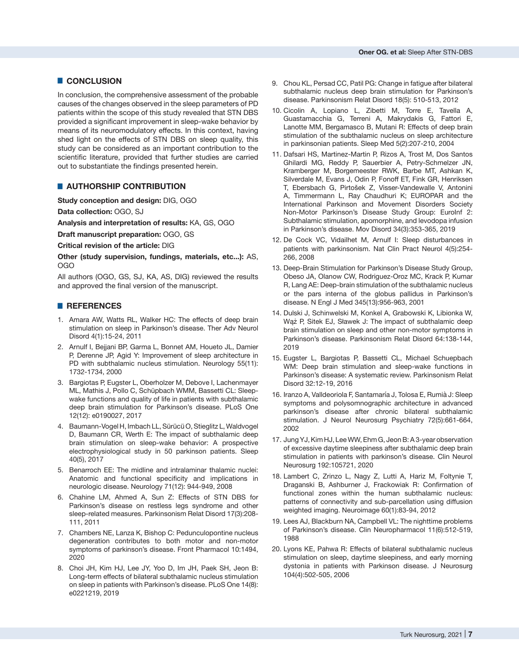# █ **CONCLUSION**

In conclusion, the comprehensive assessment of the probable causes of the changes observed in the sleep parameters of PD patients within the scope of this study revealed that STN DBS provided a significant improvement in sleep-wake behavior by means of its neuromodulatory effects. In this context, having shed light on the effects of STN DBS on sleep quality, this study can be considered as an important contribution to the scientific literature, provided that further studies are carried out to substantiate the findings presented herein.

# █ **AUTHORSHIP CONTRIBUTION**

**Study conception and design:** DIG, OGO

**Data collection:** OGO, SJ

**Analysis and interpretation of results:** KA, GS, OGO

**Draft manuscript preparation:** OGO, GS

**Critical revision of the article:** DIG

**Other (study supervision, fundings, materials, etc...):** AS, OGO

All authors (OGO, GS, SJ, KA, AS, DIG) reviewed the results and approved the final version of the manuscript.

# █ **REFERENCES**

- 1. Amara AW, Watts RL, Walker HC: The effects of deep brain stimulation on sleep in Parkinson's disease. Ther Adv Neurol Disord 4(1):15-24, 2011
- 2. Arnulf I, Bejjani BP, Garma L, Bonnet AM, Houeto JL, Damier P, Derenne JP, Agid Y: Improvement of sleep architecture in PD with subthalamic nucleus stimulation. Neurology 55(11): 1732-1734, 2000
- 3. Bargiotas P, Eugster L, Oberholzer M, Debove I, Lachenmayer ML, Mathis J, Pollo C, Schüpbach WMM, Bassetti CL: Sleepwake functions and quality of life in patients with subthalamic deep brain stimulation for Parkinson's disease. PLoS One 12(12): e0190027, 2017
- 4. Baumann-Vogel H, Imbach LL, Sürücü O, Stieglitz L, Waldvogel D, Baumann CR, Werth E: The impact of subthalamic deep brain stimulation on sleep-wake behavior: A prospective electrophysiological study in 50 parkinson patients. Sleep 40(5), 2017
- 5. Benarroch EE: The midline and intralaminar thalamic nuclei: Anatomic and functional specificity and implications in neurologic disease. Neurology 71(12): 944-949, 2008
- 6. Chahine LM, Ahmed A, Sun Z: Effects of STN DBS for Parkinson's disease on restless legs syndrome and other sleep-related measures. Parkinsonism Relat Disord 17(3):208- 111, 2011
- 7. Chambers NE, Lanza K, Bishop C: Pedunculopontine nucleus degeneration contributes to both motor and non-motor symptoms of parkinson's disease. Front Pharmacol 10:1494, 2020
- 8. Choi JH, Kim HJ, Lee JY, Yoo D, Im JH, Paek SH, Jeon B: Long-term effects of bilateral subthalamic nucleus stimulation on sleep in patients with Parkinson's disease. PLoS One 14(8): e0221219, 2019
- 9. Chou KL, Persad CC, Patil PG: Change in fatigue after bilateral subthalamic nucleus deep brain stimulation for Parkinson's disease. Parkinsonism Relat Disord 18(5): 510-513, 2012
- 10. Cicolin A, Lopiano L, Zibetti M, Torre E, Tavella A, Guastamacchia G, Terreni A, Makrydakis G, Fattori E, Lanotte MM, Bergamasco B, Mutani R: Effects of deep brain stimulation of the subthalamic nucleus on sleep architecture in parkinsonian patients. Sleep Med 5(2):207-210, 2004
- 11. Dafsari HS, Martinez-Martin P, Rizos A, Trost M, Dos Santos Ghilardi MG, Reddy P, Sauerbier A, Petry-Schmelzer JN, Kramberger M, Borgemeester RWK, Barbe MT, Ashkan K, Silverdale M, Evans J, Odin P, Fonoff ET, Fink GR, Henriksen T, Ebersbach G, Pirtošek Z, Visser-Vandewalle V, Antonini A, Timmermann L, Ray Chaudhuri K; EUROPAR and the International Parkinson and Movement Disorders Society Non-Motor Parkinson's Disease Study Group: EuroInf 2: Subthalamic stimulation, apomorphine, and levodopa infusion in Parkinson's disease. Mov Disord 34(3):353-365, 2019
- 12. De Cock VC, Vidailhet M, Arnulf I: Sleep disturbances in patients with parkinsonism. Nat Clin Pract Neurol 4(5):254- 266, 2008
- 13. Deep-Brain Stimulation for Parkinson's Disease Study Group, Obeso JA, Olanow CW, Rodriguez-Oroz MC, Krack P, Kumar R, Lang AE: Deep-brain stimulation of the subthalamic nucleus or the pars interna of the globus pallidus in Parkinson's disease. N Engl J Med 345(13):956-963, 2001
- 14. Dulski J, Schinwelski M, Konkel A, Grabowski K, Libionka W, Wąż P, Sitek EJ, Sławek J: The impact of subthalamic deep brain stimulation on sleep and other non-motor symptoms in Parkinson's disease. Parkinsonism Relat Disord 64:138-144, 2019
- 15. Eugster L, Bargiotas P, Bassetti CL, Michael Schuepbach WM: Deep brain stimulation and sleep-wake functions in Parkinson's disease: A systematic review. Parkinsonism Relat Disord 32:12-19, 2016
- 16. Iranzo A, Valldeoriola F, Santamaría J, Tolosa E, Rumià J: Sleep symptoms and polysomnographic architecture in advanced parkinson's disease after chronic bilateral subthalamic stimulation. J Neurol Neurosurg Psychiatry 72(5):661-664, 2002
- 17. Jung YJ, Kim HJ, Lee WW, Ehm G, Jeon B: A 3-year observation of excessive daytime sleepiness after subthalamic deep brain stimulation in patients with parkinson's disease. Clin Neurol Neurosurg 192:105721, 2020
- 18. Lambert C, Zrinzo L, Nagy Z, Lutti A, Hariz M, Foltynie T, Draganski B, Ashburner J, Frackowiak R: Confirmation of functional zones within the human subthalamic nucleus: patterns of connectivity and sub-parcellation using diffusion weighted imaging. Neuroimage 60(1):83-94, 2012
- 19. Lees AJ, Blackburn NA, Campbell VL: The nighttime problems of Parkinson's disease. Clin Neuropharmacol 11(6):512-519, 1988
- 20. Lyons KE, Pahwa R: Effects of bilateral subthalamic nucleus stimulation on sleep, daytime sleepiness, and early morning dystonia in patients with Parkinson disease. J Neurosurg 104(4):502-505, 2006